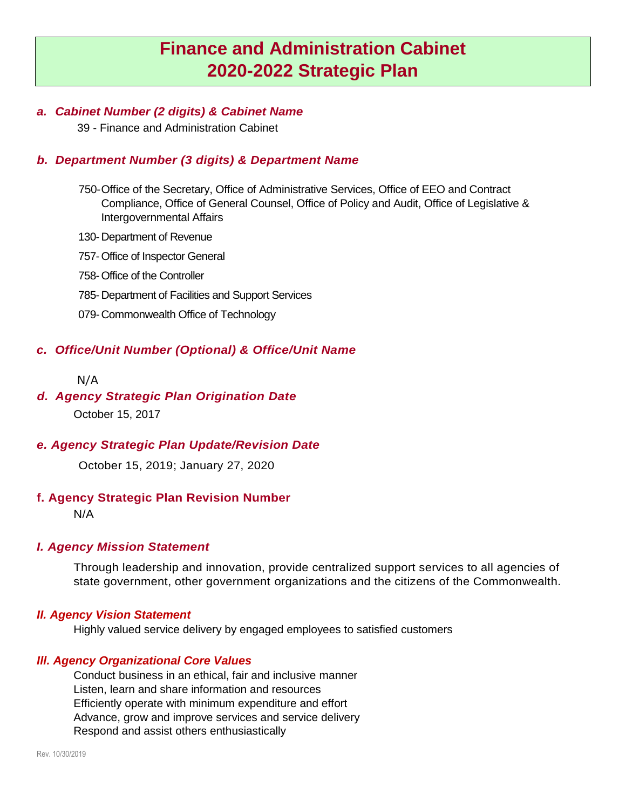# **Finance and Administration Cabinet 2020-2022 Strategic Plan**

## *a. Cabinet Number (2 digits) & Cabinet Name*

39 - Finance and Administration Cabinet

# *b. Department Number (3 digits) & Department Name*

- 750-Office of the Secretary, Office of Administrative Services, Office of EEO and Contract Compliance, Office of General Counsel, Office of Policy and Audit, Office of Legislative & Intergovernmental Affairs
- 130- Department of Revenue
- 757-Office of Inspector General
- 758-Office of the Controller
- 785- Department of Facilities and Support Services
- 079-Commonwealth Office of Technology

# *c. Office/Unit Number (Optional) & Office/Unit Name*

#### N/A

# *d. Agency Strategic Plan Origination Date*

October 15, 2017

# *e. Agency Strategic Plan Update/Revision Date*

October 15, 2019; January 27, 2020

#### **f. Agency Strategic Plan Revision Number**

N/A

#### *I. Agency Mission Statement*

Through leadership and innovation, provide centralized support services to all agencies of state government, other government organizations and the citizens of the Commonwealth.

#### *II. Agency Vision Statement*

Highly valued service delivery by engaged employees to satisfied customers

#### *Ill. Agency Organizational Core Values*

Conduct business in an ethical, fair and inclusive manner Listen, learn and share information and resources Efficiently operate with minimum expenditure and effort Advance, grow and improve services and service delivery Respond and assist others enthusiastically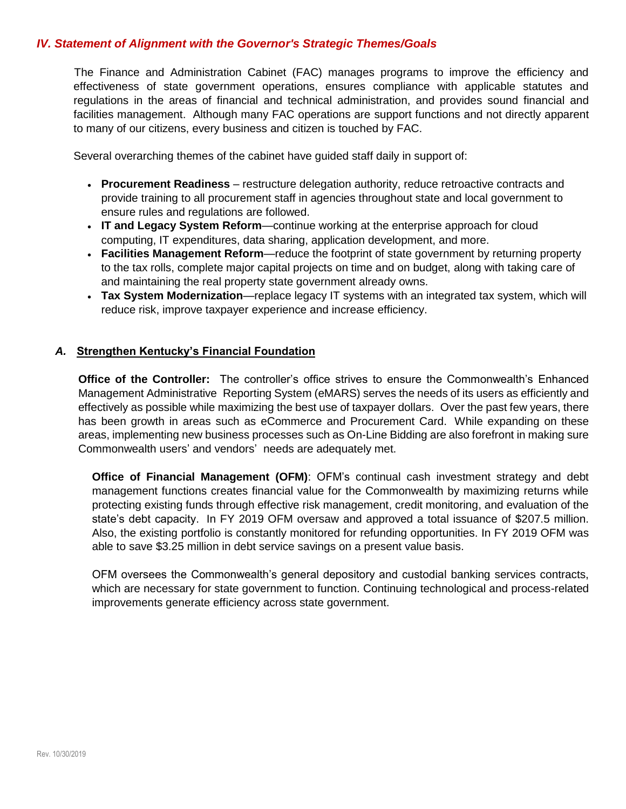#### *IV. Statement of Alignment with the Governor's Strategic Themes/Goals*

The Finance and Administration Cabinet (FAC) manages programs to improve the efficiency and effectiveness of state government operations, ensures compliance with applicable statutes and regulations in the areas of financial and technical administration, and provides sound financial and facilities management. Although many FAC operations are support functions and not directly apparent to many of our citizens, every business and citizen is touched by FAC.

Several overarching themes of the cabinet have guided staff daily in support of:

- **Procurement Readiness** restructure delegation authority, reduce retroactive contracts and provide training to all procurement staff in agencies throughout state and local government to ensure rules and regulations are followed.
- **IT and Legacy System Reform**—continue working at the enterprise approach for cloud computing, IT expenditures, data sharing, application development, and more.
- **Facilities Management Reform**—reduce the footprint of state government by returning property to the tax rolls, complete major capital projects on time and on budget, along with taking care of and maintaining the real property state government already owns.
- **Tax System Modernization**—replace legacy IT systems with an integrated tax system, which will reduce risk, improve taxpayer experience and increase efficiency.

#### *A.* **Strengthen Kentucky's Financial Foundation**

**Office of the Controller:** The controller's office strives to ensure the Commonwealth's Enhanced Management Administrative Reporting System (eMARS) serves the needs of its users as efficiently and effectively as possible while maximizing the best use of taxpayer dollars. Over the past few years, there has been growth in areas such as eCommerce and Procurement Card. While expanding on these areas, implementing new business processes such as On-Line Bidding are also forefront in making sure Commonwealth users' and vendors' needs are adequately met.

**Office of Financial Management (OFM)**: OFM's continual cash investment strategy and debt management functions creates financial value for the Commonwealth by maximizing returns while protecting existing funds through effective risk management, credit monitoring, and evaluation of the state's debt capacity. In FY 2019 OFM oversaw and approved a total issuance of \$207.5 million. Also, the existing portfolio is constantly monitored for refunding opportunities. In FY 2019 OFM was able to save \$3.25 million in debt service savings on a present value basis.

OFM oversees the Commonwealth's general depository and custodial banking services contracts, which are necessary for state government to function. Continuing technological and process-related improvements generate efficiency across state government.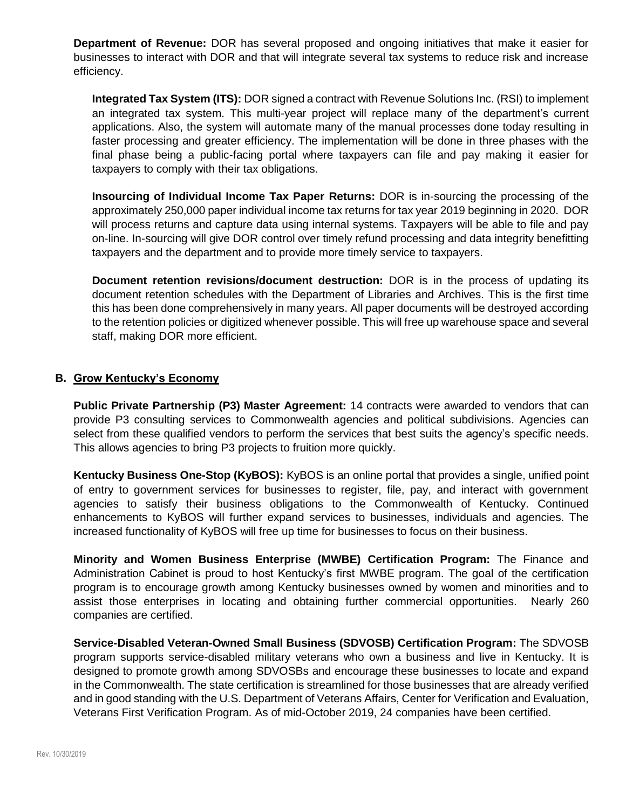**Department of Revenue:** DOR has several proposed and ongoing initiatives that make it easier for businesses to interact with DOR and that will integrate several tax systems to reduce risk and increase efficiency.

**Integrated Tax System (ITS):** DOR signed a contract with Revenue Solutions Inc. (RSI) to implement an integrated tax system. This multi-year project will replace many of the department's current applications. Also, the system will automate many of the manual processes done today resulting in faster processing and greater efficiency. The implementation will be done in three phases with the final phase being a public-facing portal where taxpayers can file and pay making it easier for taxpayers to comply with their tax obligations.

**Insourcing of Individual Income Tax Paper Returns:** DOR is in-sourcing the processing of the approximately 250,000 paper individual income tax returns for tax year 2019 beginning in 2020. DOR will process returns and capture data using internal systems. Taxpayers will be able to file and pay on-line. In-sourcing will give DOR control over timely refund processing and data integrity benefitting taxpayers and the department and to provide more timely service to taxpayers.

**Document retention revisions/document destruction:** DOR is in the process of updating its document retention schedules with the Department of Libraries and Archives. This is the first time this has been done comprehensively in many years. All paper documents will be destroyed according to the retention policies or digitized whenever possible. This will free up warehouse space and several staff, making DOR more efficient.

#### **B. Grow Kentucky's Economy**

**Public Private Partnership (P3) Master Agreement:** 14 contracts were awarded to vendors that can provide P3 consulting services to Commonwealth agencies and political subdivisions. Agencies can select from these qualified vendors to perform the services that best suits the agency's specific needs. This allows agencies to bring P3 projects to fruition more quickly.

**Kentucky Business One-Stop (KyBOS):** KyBOS is an online portal that provides a single, unified point of entry to government services for businesses to register, file, pay, and interact with government agencies to satisfy their business obligations to the Commonwealth of Kentucky. Continued enhancements to KyBOS will further expand services to businesses, individuals and agencies. The increased functionality of KyBOS will free up time for businesses to focus on their business.

**Minority and Women Business Enterprise (MWBE) Certification Program:** The Finance and Administration Cabinet is proud to host Kentucky's first MWBE program. The goal of the certification program is to encourage growth among Kentucky businesses owned by women and minorities and to assist those enterprises in locating and obtaining further commercial opportunities. Nearly 260 companies are certified.

**Service-Disabled Veteran-Owned Small Business (SDVOSB) Certification Program:** The SDVOSB program supports service-disabled military veterans who own a business and live in Kentucky. It is designed to promote growth among SDVOSBs and encourage these businesses to locate and expand in the Commonwealth. The state certification is streamlined for those businesses that are already verified and in good standing with the U.S. Department of Veterans Affairs, Center for Verification and Evaluation, Veterans First Verification Program. As of mid-October 2019, 24 companies have been certified.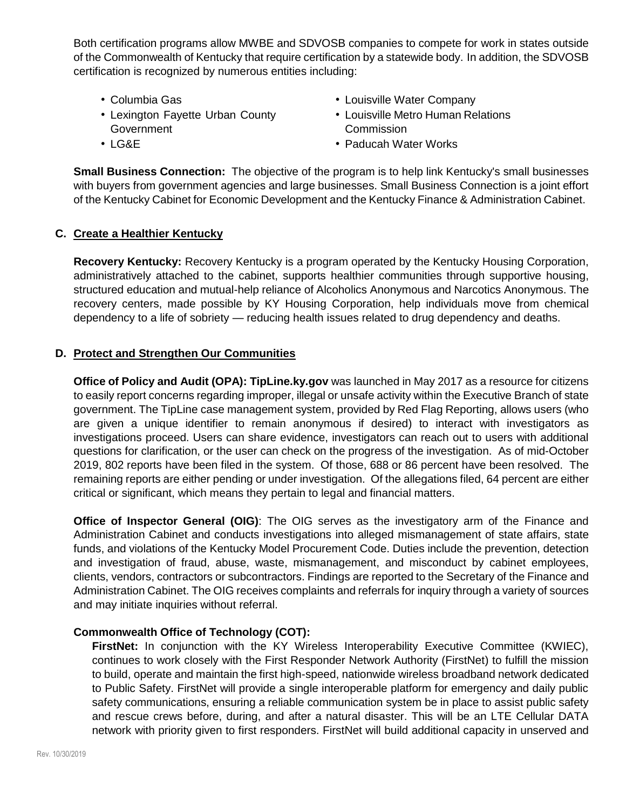Both certification programs allow MWBE and SDVOSB companies to compete for work in states outside of the Commonwealth of Kentucky that require certification by a statewide body. In addition, the SDVOSB certification is recognized by numerous entities including:

- Columbia Gas
- Lexington Fayette Urban County **Government**
- Louisville Water Company
- Louisville Metro Human Relations **Commission**

• LG&E

• Paducah Water Works

**Small Business Connection:** The objective of the program is to help link Kentucky's small businesses with buyers from government agencies and large businesses. Small Business Connection is a joint effort of the Kentucky Cabinet for Economic Development and the Kentucky Finance & Administration Cabinet[.](https://finance.ky.gov/initiatives/BROADBAND/Pages/default.aspx)

## **C. Create a Healthier Kentucky**

**Recovery Kentucky:** Recovery Kentucky is a program operated by the Kentucky Housing Corporation, administratively attached to the cabinet, supports healthier communities through supportive housing, structured education and mutual-help reliance of Alcoholics Anonymous and Narcotics Anonymous. The recovery centers, made possible by KY Housing Corporation, help individuals move from chemical dependency to a life of sobriety — reducing health issues related to drug dependency and deaths.

#### **D. Protect and Strengthen Our Communities**

**Office of Policy and Audit (OPA): TipLine.ky.gov** was launched in May 2017 as a resource for citizens to easily report concerns regarding improper, illegal or unsafe activity within the Executive Branch of state government. The TipLine case management system, provided by Red Flag Reporting, allows users (who are given a unique identifier to remain anonymous if desired) to interact with investigators as investigations proceed. Users can share evidence, investigators can reach out to users with additional questions for clarification, or the user can check on the progress of the investigation. As of mid-October 2019, 802 reports have been filed in the system. Of those, 688 or 86 percent have been resolved. The remaining reports are either pending or under investigation. Of the allegations filed, 64 percent are either critical or significant, which means they pertain to legal and financial matters.

**Office of Inspector General (OIG)**: The OIG serves as the investigatory arm of the Finance and Administration Cabinet and conducts investigations into alleged mismanagement of state affairs, state funds, and violations of the Kentucky Model Procurement Code. Duties include the prevention, detection and investigation of fraud, abuse, waste, mismanagement, and misconduct by cabinet employees, clients, vendors, contractors or subcontractors. Findings are reported to the Secretary of the Finance and Administration Cabinet. The OIG receives complaints and referrals for inquiry through a variety of sources and may initiate inquiries without referral.

#### **Commonwealth Office of Technology (COT):**

**FirstNet:** In conjunction with the KY Wireless Interoperability Executive Committee (KWIEC), continues to work closely with the First Responder Network Authority (FirstNet) to fulfill the mission to build, operate and maintain the first high-speed, nationwide wireless broadband network dedicated to Public Safety. FirstNet will provide a single interoperable platform for emergency and daily public safety communications, ensuring a reliable communication system be in place to assist public safety and rescue crews before, during, and after a natural disaster. This will be an LTE Cellular DATA network with priority given to first responders. FirstNet will build additional capacity in unserved and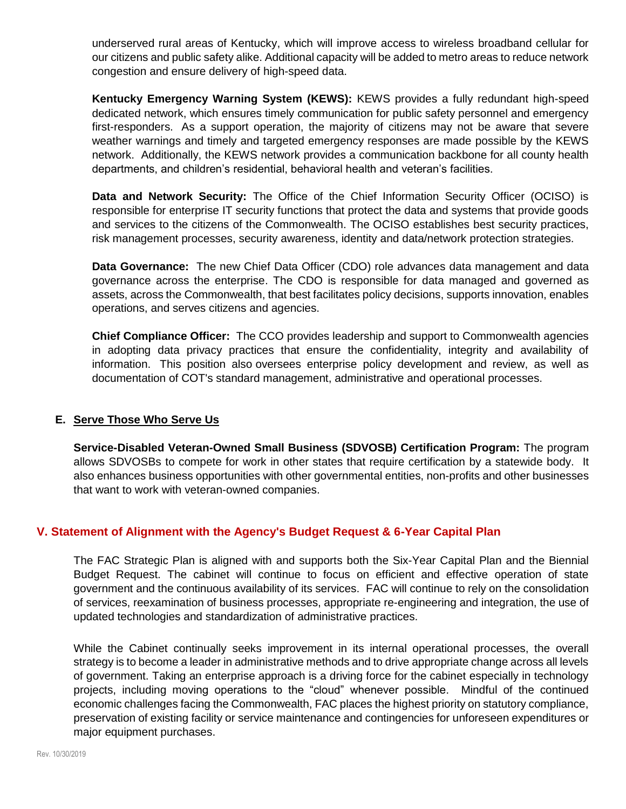underserved rural areas of Kentucky, which will improve access to wireless broadband cellular for our citizens and public safety alike. Additional capacity will be added to metro areas to reduce network congestion and ensure delivery of high-speed data.

**Kentucky Emergency Warning System (KEWS):** KEWS provides a fully redundant high-speed dedicated network, which ensures timely communication for public safety personnel and emergency first-responders. As a support operation, the majority of citizens may not be aware that severe weather warnings and timely and targeted emergency responses are made possible by the KEWS network. Additionally, the KEWS network provides a communication backbone for all county health departments, and children's residential, behavioral health and veteran's facilities.

**Data and Network Security:** The Office of the Chief Information Security Officer (OCISO) is responsible for enterprise IT security functions that protect the data and systems that provide goods and services to the citizens of the Commonwealth. The OCISO establishes best security practices, risk management processes, security awareness, identity and data/network protection strategies.

**Data Governance:** The new Chief Data Officer (CDO) role advances data management and data governance across the enterprise. The CDO is responsible for data managed and governed as assets, across the Commonwealth, that best facilitates policy decisions, supports innovation, enables operations, and serves citizens and agencies.

**Chief Compliance Officer:** The CCO provides leadership and support to Commonwealth agencies in adopting data privacy practices that ensure the confidentiality, integrity and availability of information. This position also oversees enterprise policy development and review, as well as documentation of COT's standard management, administrative and operational processes.

#### **E. Serve Those Who Serve Us**

**Service-Disabled Veteran-Owned Small Business (SDVOSB) Certification Program:** The program allows SDVOSBs to compete for work in other states that require certification by a statewide body. It also enhances business opportunities with other governmental entities, non-profits and other businesses that want to work with veteran-owned companies.

#### **V. Statement of Alignment with the Agency's Budget Request & 6-Year Capital Plan**

The FAC Strategic Plan is aligned with and supports both the Six-Year Capital Plan and the Biennial Budget Request. The cabinet will continue to focus on efficient and effective operation of state government and the continuous availability of its services. FAC will continue to rely on the consolidation of services, reexamination of business processes, appropriate re-engineering and integration, the use of updated technologies and standardization of administrative practices.

While the Cabinet continually seeks improvement in its internal operational processes, the overall strategy is to become a leader in administrative methods and to drive appropriate change across all levels of government. Taking an enterprise approach is a driving force for the cabinet especially in technology projects, including moving operations to the "cloud" whenever possible. Mindful of the continued economic challenges facing the Commonwealth, FAC places the highest priority on statutory compliance, preservation of existing facility or service maintenance and contingencies for unforeseen expenditures or major equipment purchases.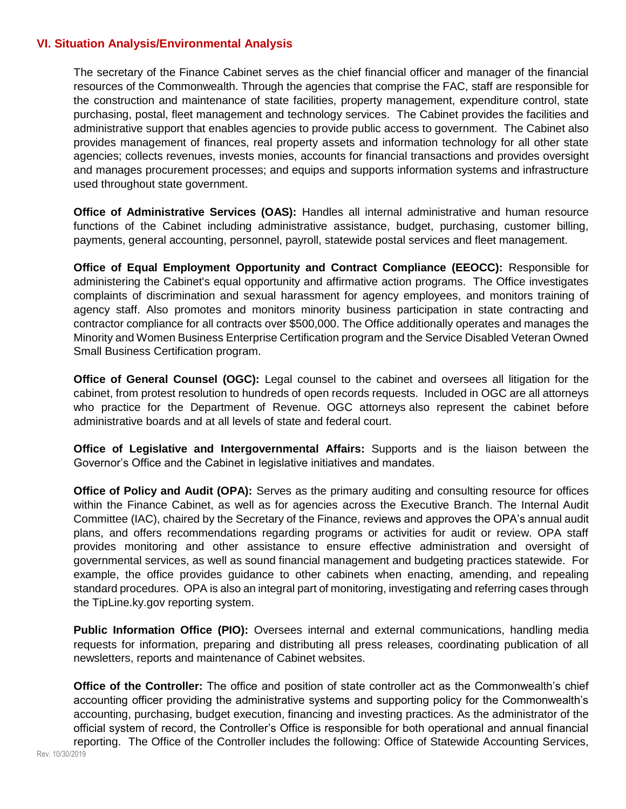#### **VI. Situation Analysis/Environmental Analysis**

The secretary of the Finance Cabinet serves as the chief financial officer and manager of the financial resources of the Commonwealth. Through the agencies that comprise the FAC, staff are responsible for the construction and maintenance of state facilities, property management, expenditure control, state purchasing, postal, fleet management and technology services. The Cabinet provides the facilities and administrative support that enables agencies to provide public access to government. The Cabinet also provides management of finances, real property assets and information technology for all other state agencies; collects revenues, invests monies, accounts for financial transactions and provides oversight and manages procurement processes; and equips and supports information systems and infrastructure used throughout state government.

**Office of Administrative Services (OAS):** Handles all internal administrative and human resource functions of the Cabinet including administrative assistance, budget, purchasing, customer billing, payments, general accounting, personnel, payroll, statewide postal services and fleet management.

**Office of Equal Employment Opportunity and Contract Compliance (EEOCC):** Responsible for administering the Cabinet's equal opportunity and affirmative action programs. The Office investigates complaints of discrimination and sexual harassment for agency employees, and monitors training of agency staff. Also promotes and monitors minority business participation in state contracting and contractor compliance for all contracts over \$500,000. The Office additionally operates and manages the Minority and Women Business Enterprise Certification program and the Service Disabled Veteran Owned Small Business Certification program.

**Office of General Counsel (OGC):** Legal counsel to the cabinet and oversees all litigation for the cabinet, from protest resolution to hundreds of open records requests. Included in OGC are all attorneys who practice for the Department of Revenue. OGC attorneys also represent the cabinet before administrative boards and at all levels of state and federal court.

**Office of Legislative and Intergovernmental Affairs:** Supports and is the liaison between the Governor's Office and the Cabinet in legislative initiatives and mandates.

**Office of Policy and Audit (OPA):** Serves as the primary auditing and consulting resource for offices within the Finance Cabinet, as well as for agencies across the Executive Branch. The Internal Audit Committee (IAC), chaired by the Secretary of the Finance, reviews and approves the OPA's annual audit plans, and offers recommendations regarding programs or activities for audit or review. OPA staff provides monitoring and other assistance to ensure effective administration and oversight of governmental services, as well as sound financial management and budgeting practices statewide. For example, the office provides guidance to other cabinets when enacting, amending, and repealing standard procedures. OPA is also an integral part of monitoring, investigating and referring cases through the TipLine.ky.gov reporting system.

**Public Information Office (PIO):** Oversees internal and external communications, handling media requests for information, preparing and distributing all press releases, coordinating publication of all newsletters, reports and maintenance of Cabinet websites.

**Office of the Controller:** The office and position of state controller act as the Commonwealth's chief accounting officer providing the administrative systems and supporting policy for the Commonwealth's accounting, purchasing, budget execution, financing and investing practices. As the administrator of the official system of record, the Controller's Office is responsible for both operational and annual financial reporting. The Office of the Controller includes the following: Office of Statewide Accounting Services,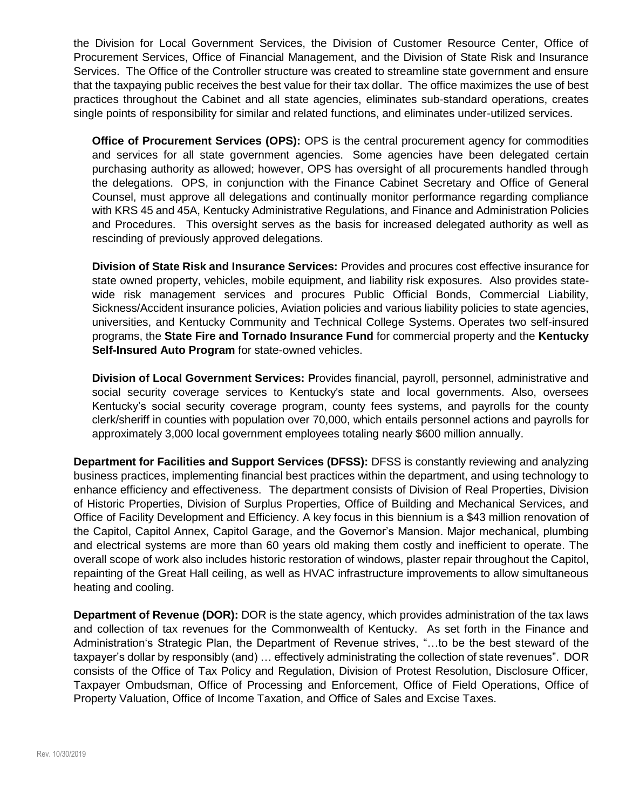the Division for Local Government Services, the Division of Customer Resource Center, Office of Procurement Services, Office of Financial Management, and the Division of State Risk and Insurance Services. The Office of the Controller structure was created to streamline state government and ensure that the taxpaying public receives the best value for their tax dollar. The office maximizes the use of best practices throughout the Cabinet and all state agencies, eliminates sub-standard operations, creates single points of responsibility for similar and related functions, and eliminates under-utilized services.

**Office of Procurement Services (OPS):** OPS is the central procurement agency for commodities and services for all state government agencies. Some agencies have been delegated certain purchasing authority as allowed; however, OPS has oversight of all procurements handled through the delegations. OPS, in conjunction with the Finance Cabinet Secretary and Office of General Counsel, must approve all delegations and continually monitor performance regarding compliance with KRS 45 and 45A, Kentucky Administrative Regulations, and Finance and Administration Policies and Procedures. This oversight serves as the basis for increased delegated authority as well as rescinding of previously approved delegations.

**Division of State Risk and Insurance Services:** Provides and procures cost effective insurance for state owned property, vehicles, mobile equipment, and liability risk exposures. Also provides statewide risk management services and procures Public Official Bonds, Commercial Liability, Sickness/Accident insurance policies, Aviation policies and various liability policies to state agencies, universities, and Kentucky Community and Technical College Systems. Operates two self-insured programs, the **State Fire and Tornado Insurance Fund** for commercial property and the **Kentucky Self-Insured Auto Program** for state-owned vehicles.

**Division of Local Government Services: P**rovides financial, payroll, personnel, administrative and social security coverage services to Kentucky's state and local governments. Also, oversees Kentucky's social security coverage program, county fees systems, and payrolls for the county clerk/sheriff in counties with population over 70,000, which entails personnel actions and payrolls for approximately 3,000 local government employees totaling nearly \$600 million annually.

**Department for Facilities and Support Services (DFSS):** DFSS is constantly reviewing and analyzing business practices, implementing financial best practices within the department, and using technology to enhance efficiency and effectiveness. The department consists of Division of Real Properties, Division of Historic Properties, Division of Surplus Properties, Office of Building and Mechanical Services, and Office of Facility Development and Efficiency. A key focus in this biennium is a \$43 million renovation of the Capitol, Capitol Annex, Capitol Garage, and the Governor's Mansion. Major mechanical, plumbing and electrical systems are more than 60 years old making them costly and inefficient to operate. The overall scope of work also includes historic restoration of windows, plaster repair throughout the Capitol, repainting of the Great Hall ceiling, as well as HVAC infrastructure improvements to allow simultaneous heating and cooling.

**Department of Revenue (DOR):** DOR is the state agency, which provides administration of the tax laws and collection of tax revenues for the Commonwealth of Kentucky. As set forth in the Finance and Administration's Strategic Plan, the Department of Revenue strives, "…to be the best steward of the taxpayer's dollar by responsibly (and) … effectively administrating the collection of state revenues". DOR consists of the Office of Tax Policy and Regulation, Division of Protest Resolution, Disclosure Officer, Taxpayer Ombudsman, Office of Processing and Enforcement, Office of Field Operations, Office of Property Valuation, Office of Income Taxation, and Office of Sales and Excise Taxes.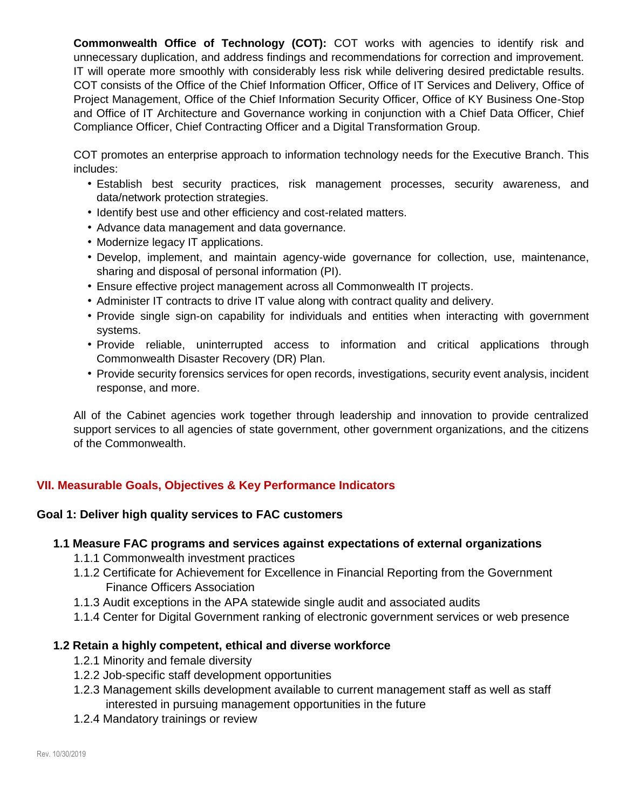**Commonwealth Office of Technology (COT):** COT works with agencies to identify risk and unnecessary duplication, and address findings and recommendations for correction and improvement. IT will operate more smoothly with considerably less risk while delivering desired predictable results. COT consists of the Office of the Chief Information Officer, Office of IT Services and Delivery, Office of Project Management, Office of the Chief Information Security Officer, Office of KY Business One-Stop and Office of IT Architecture and Governance working in conjunction with a Chief Data Officer, Chief Compliance Officer, Chief Contracting Officer and a Digital Transformation Group.

COT promotes an enterprise approach to information technology needs for the Executive Branch. This includes:

- Establish best security practices, risk management processes, security awareness, and data/network protection strategies.
- Identify best use and other efficiency and cost-related matters.
- Advance data management and data governance.
- Modernize legacy IT applications.
- Develop, implement, and maintain agency-wide governance for collection, use, maintenance, sharing and disposal of personal information (PI).
- Ensure effective project management across all Commonwealth IT projects.
- Administer IT contracts to drive IT value along with contract quality and delivery.
- Provide single sign-on capability for individuals and entities when interacting with government systems.
- Provide reliable, uninterrupted access to information and critical applications through Commonwealth Disaster Recovery (DR) Plan.
- Provide security forensics services for open records, investigations, security event analysis, incident response, and more.

All of the Cabinet agencies work together through leadership and innovation to provide centralized support services to all agencies of state government, other government organizations, and the citizens of the Commonwealth.

# **VII. Measurable Goals, Objectives & Key Performance Indicators**

#### **Goal 1: Deliver high quality services to FAC customers**

#### **1.1 Measure FAC programs and services against expectations of external organizations**

- 1.1.1 Commonwealth investment practices
- 1.1.2 Certificate for Achievement for Excellence in Financial Reporting from the Government Finance Officers Association
- 1.1.3 Audit exceptions in the APA statewide single audit and associated audits
- 1.1.4 Center for Digital Government ranking of electronic government services or web presence

#### **1.2 Retain a highly competent, ethical and diverse workforce**

- 1.2.1 Minority and female diversity
- 1.2.2 Job-specific staff development opportunities
- 1.2.3 Management skills development available to current management staff as well as staff interested in pursuing management opportunities in the future
- 1.2.4 Mandatory trainings or review